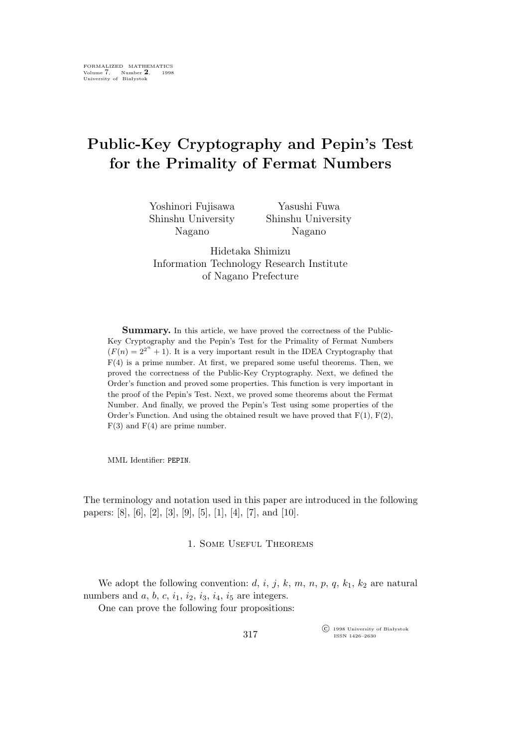# **Public-Key Cryptography and Pepin's Test for the Primality of Fermat Numbers**

| Yoshinori Fujisawa | Yasushi Fuwa       |
|--------------------|--------------------|
| Shinshu University | Shinshu University |
| Nagano             | Nagano             |

Hidetaka Shimizu Information Technology Research Institute of Nagano Prefecture

**Summary.** In this article, we have proved the correctness of the Public-Key Cryptography and the Pepin's Test for the Primality of Fermat Numbers  $(F(n) = 2^{2^n} + 1)$ . It is a very important result in the IDEA Cryptography that  $F(4)$  is a prime number. At first, we prepared some useful theorems. Then, we proved the correctness of the Public-Key Cryptography. Next, we defined the Order's function and proved some properties. This function is very important in the proof of the Pepin's Test. Next, we proved some theorems about the Fermat Number. And finally, we proved the Pepin's Test using some properties of the Order's Function. And using the obtained result we have proved that  $F(1)$ ,  $F(2)$ ,  $F(3)$  and  $F(4)$  are prime number.

MML Identifier: PEPIN.

The terminology and notation used in this paper are introduced in the following papers: [8], [6], [2], [3], [9], [5], [1], [4], [7], and [10].

# 1. Some Useful Theorems

We adopt the following convention:  $d, i, j, k, m, n, p, q, k_1, k_2$  are natural numbers and  $a, b, c, i_1, i_2, i_3, i_4, i_5$  are integers.

One can prove the following four propositions:

°c 1998 University of Białystok ISSN 1426–2630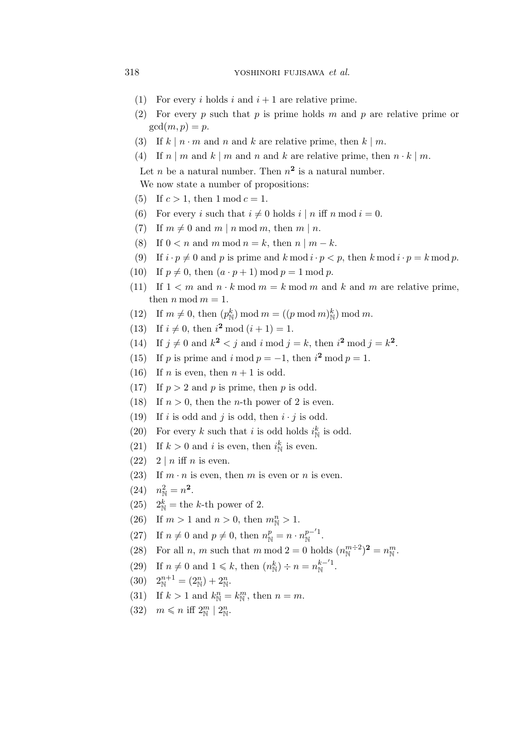# 318 yoshinori fujisawa *et al.*

- (1) For every i holds i and  $i + 1$  are relative prime.
- (2) For every p such that p is prime holds m and p are relative prime or  $gcd(m,p) = p$ .
- (3) If  $k \mid n \cdot m$  and n and k are relative prime, then  $k \mid m$ .
- (4) If  $n \mid m$  and  $k \mid m$  and  $n$  and  $k$  are relative prime, then  $n \cdot k \mid m$ .

Let *n* be a natural number. Then  $n^2$  is a natural number.

We now state a number of propositions:

- (5) If  $c > 1$ , then  $1 \mod c = 1$ .
- (6) For every i such that  $i \neq 0$  holds  $i | n$  iff  $n \mod i = 0$ .
- (7) If  $m \neq 0$  and  $m \mid n \mod m$ , then  $m \mid n$ .
- (8) If  $0 < n$  and m mod  $n = k$ , then  $n \mid m k$ .
- (9) If  $i \cdot p \neq 0$  and p is prime and  $k \mod i \cdot p < p$ , then  $k \mod i \cdot p = k \mod p$ .
- (10) If  $p \neq 0$ , then  $(a \cdot p + 1) \bmod p = 1 \bmod p$ .
- (11) If  $1 \leq m$  and  $n \cdot k \mod m = k \mod m$  and k and m are relative prime, then  $n \mod m = 1$ .
- (12) If  $m \neq 0$ , then  $(p_N^k) \mod m = ((p \mod m)_N^k) \mod m$ .
- (13) If  $i \neq 0$ , then  $i^2 \mod (i + 1) = 1$ .
- (14) If  $j \neq 0$  and  $k^2 < j$  and  $i \mod j = k$ , then  $i^2 \mod j = k^2$ .
- (15) If p is prime and i mod  $p = -1$ , then  $i^2 \mod p = 1$ .
- (16) If *n* is even, then  $n + 1$  is odd.
- (17) If  $p > 2$  and p is prime, then p is odd.
- (18) If  $n > 0$ , then the *n*-th power of 2 is even.
- (19) If i is odd and j is odd, then  $i \cdot j$  is odd.
- (20) For every k such that i is odd holds  $i_N^k$  is odd.
- (21) If  $k > 0$  and i is even, then  $i_N^k$  is even.
- $(22)$  2 | *n* iff *n* is even.
- (23) If  $m \cdot n$  is even, then m is even or n is even.
- (24)  $n_{\rm N}^2 = n^2$ .
- (25)  $2^k_{\mathbb{N}}$  = the k-th power of 2.
- (26) If  $m > 1$  and  $n > 0$ , then  $m_N^n > 1$ .
- (27) If  $n \neq 0$  and  $p \neq 0$ , then  $n_{\mathbb{N}}^p = n \cdot n_{\mathbb{N}}^{p-1}$ .
- (28) For all *n*, *m* such that *m* mod  $2 = 0$  holds  $(n_{\mathbb{N}}^{m+2})^2 = n_{\mathbb{N}}^m$ .
- (29) If  $n \neq 0$  and  $1 \leq k$ , then  $(n_{\mathbb{N}}^k) \div n = n_{\mathbb{N}}^{k-1}$ .
- (30)  $2^{n+1}_{\mathbb{N}} = (2^{n}_{\mathbb{N}}) + 2^{n}_{\mathbb{N}}.$
- (31) If  $k > 1$  and  $k_{\mathbb{N}}^n = k_{\mathbb{N}}^m$ , then  $n = m$ .
- $(32)$   $m \leq n$  iff  $2^m_{\mathbb{N}} \mid 2^n_{\mathbb{N}}$ .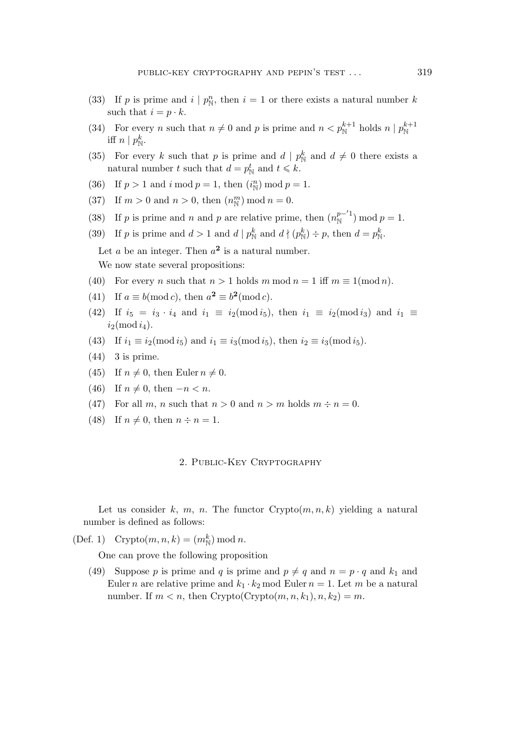- (33) If p is prime and  $i | p_{\text{N}}^n$ , then  $i = 1$  or there exists a natural number k such that  $i = p \cdot k$ .
- (34) For every *n* such that  $n \neq 0$  and *p* is prime and  $n < p_N^{k+1}$  holds  $n \mid p_N^{k+1}$ iff  $n \mid p_{\mathbb{N}}^k$ .
- (35) For every k such that p is prime and  $d | p_N^k$  and  $d \neq 0$  there exists a natural number t such that  $d = p_{\mathbb{N}}^t$  and  $t \leq k$ .
- (36) If  $p > 1$  and  $i \mod p = 1$ , then  $(i_N^n) \mod p = 1$ .
- (37) If  $m > 0$  and  $n > 0$ , then  $(n_{\mathbb{N}}^m) \mod n = 0$ .
- (38) If p is prime and n and p are relative prime, then  $(n_N^{p-1})$  mod  $p = 1$ .
- (39) If p is prime and  $d > 1$  and  $d | p_{\mathbb{N}}^k$  and  $d | (p_{\mathbb{N}}^k) \div p$ , then  $d = p_{\mathbb{N}}^k$ .
	- Let  $a$  be an integer. Then  $a^2$  is a natural number. We now state several propositions:
- (40) For every *n* such that  $n > 1$  holds m mod  $n = 1$  iff  $m \equiv 1 \pmod{n}$ .
- (41) If  $a \equiv b \pmod{c}$ , then  $a^2 \equiv b^2 \pmod{c}$ .
- (42) If  $i_5 = i_3 \cdot i_4$  and  $i_1 \equiv i_2 \pmod{i_5}$ , then  $i_1 \equiv i_2 \pmod{i_3}$  and  $i_1 \equiv i_2 \pmod{i_3}$  $i_2 \pmod{i_4}$ .
- (43) If  $i_1 \equiv i_2 \pmod{i_5}$  and  $i_1 \equiv i_3 \pmod{i_5}$ , then  $i_2 \equiv i_3 \pmod{i_5}$ .
- (44) 3 is prime.
- (45) If  $n \neq 0$ , then Euler  $n \neq 0$ .
- (46) If  $n \neq 0$ , then  $-n < n$ .
- (47) For all m, n such that  $n > 0$  and  $n > m$  holds  $m \div n = 0$ .
- (48) If  $n \neq 0$ , then  $n \div n = 1$ .

# 2. Public-Key Cryptography

Let us consider k, m, n. The functor  $Crypto(m,n,k)$  yielding a natural number is defined as follows:

(Def. 1) Crypto $(m, n, k) = (m_N^k) \bmod n$ .

One can prove the following proposition

(49) Suppose p is prime and q is prime and  $p \neq q$  and  $n = p \cdot q$  and  $k_1$  and Euler *n* are relative prime and  $k_1 \cdot k_2$  mod Euler  $n = 1$ . Let *m* be a natural number. If  $m < n$ , then Crypto(Crypto $(m, n, k_1), n, k_2) = m$ .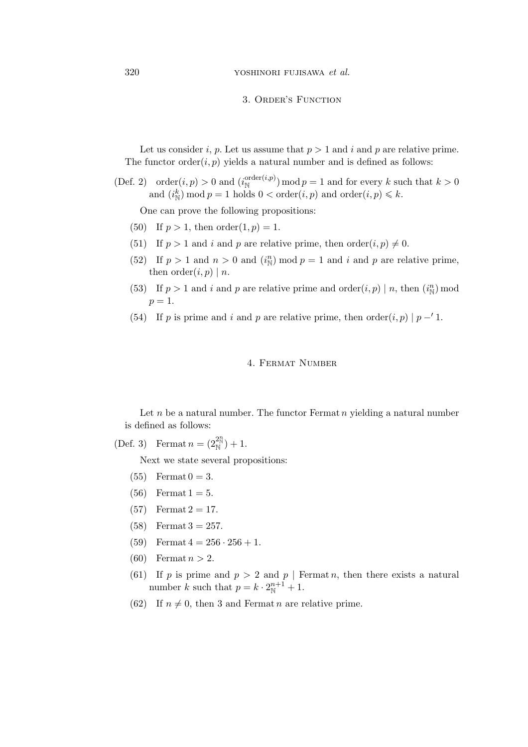### 3. Order's Function

Let us consider i, p. Let us assume that  $p > 1$  and i and p are relative prime. The functor order $(i, p)$  yields a natural number and is defined as follows:

(Def. 2) order $(i, p) > 0$  and  $(i_N^{\text{order}(i, p)}) \mod p = 1$  and for every k such that  $k > 0$ and  $(i^k_{\mathbb{N}})$  mod  $p = 1$  holds  $0 < \text{order}(i, p)$  and  $\text{order}(i, p) \leq k$ .

One can prove the following propositions:

- (50) If  $p > 1$ , then  $order(1, p) = 1$ .
- (51) If  $p > 1$  and i and p are relative prime, then order $(i, p) \neq 0$ .
- (52) If  $p > 1$  and  $n > 0$  and  $(i_N^n) \mod p = 1$  and i and p are relative prime, then  $order(i, p) | n$ .
- (53) If  $p > 1$  and i and p are relative prime and order $(i, p) | n$ , then  $(i_{\mathbb{N}}^n)$  mod  $p=1$ .
- (54) If p is prime and i and p are relative prime, then  $\operatorname{order}(i, p) | p i$ .

# 4. Fermat Number

Let  $n$  be a natural number. The functor Fermat  $n$  yielding a natural number is defined as follows:

(Def. 3) Fermat  $n = (2_{\mathbb{N}}^{2^n}) + 1$ .

Next we state several propositions:

- (55) Fermat  $0 = 3$ .
- (56) Fermat  $1 = 5$ .
- (57) Fermat  $2 = 17$ .
- (58) Fermat  $3 = 257$ .
- (59) Fermat  $4 = 256 \cdot 256 + 1$ .
- (60) Fermat  $n > 2$ .
- (61) If p is prime and  $p > 2$  and  $p \mid \text{Fermat } n$ , then there exists a natural number k such that  $p = k \cdot 2^{n+1}_{\mathbb{N}} + 1$ .
- (62) If  $n \neq 0$ , then 3 and Fermat n are relative prime.